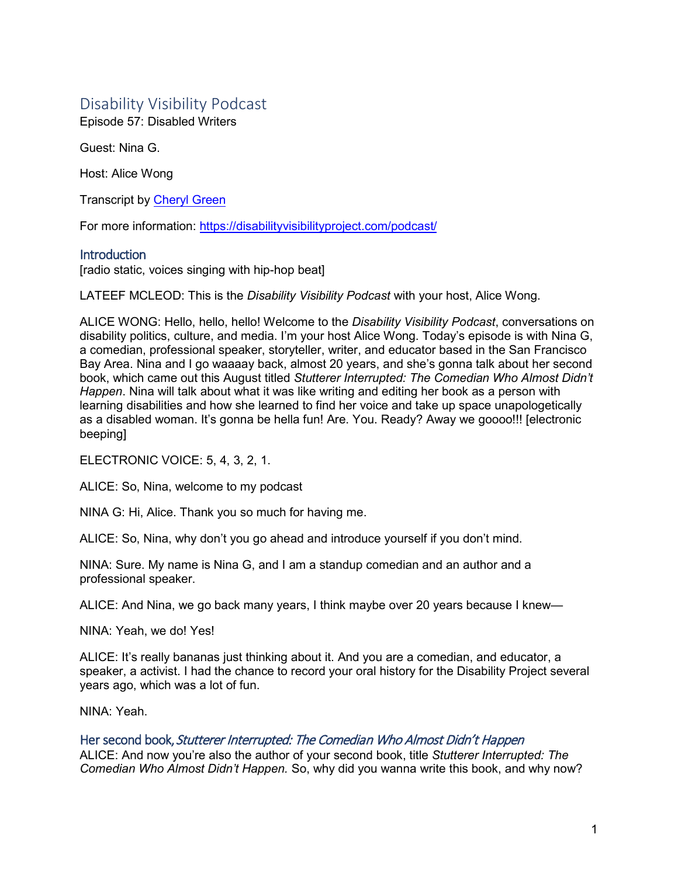# Disability Visibility Podcast

Episode 57: Disabled Writers

Guest: Nina G.

Host: Alice Wong

Transcript by [Cheryl Green](http://whoamitostopit.com/)

For more information: [https://disabilityvisibilityproject.com/podcast/](https://disabilityvisibilityproject.com/podcast-2/)

# **Introduction**

[radio static, voices singing with hip-hop beat]

LATEEF MCLEOD: This is the *Disability Visibility Podcast* with your host, Alice Wong.

ALICE WONG: Hello, hello, hello! Welcome to the *Disability Visibility Podcast*, conversations on disability politics, culture, and media. I'm your host Alice Wong. Today's episode is with Nina G, a comedian, professional speaker, storyteller, writer, and educator based in the San Francisco Bay Area. Nina and I go waaaay back, almost 20 years, and she's gonna talk about her second book, which came out this August titled *Stutterer Interrupted: The Comedian Who Almost Didn't Happen*. Nina will talk about what it was like writing and editing her book as a person with learning disabilities and how she learned to find her voice and take up space unapologetically as a disabled woman. It's gonna be hella fun! Are. You. Ready? Away we goooo!!! [electronic beeping]

ELECTRONIC VOICE: 5, 4, 3, 2, 1.

ALICE: So, Nina, welcome to my podcast

NINA G: Hi, Alice. Thank you so much for having me.

ALICE: So, Nina, why don't you go ahead and introduce yourself if you don't mind.

NINA: Sure. My name is Nina G, and I am a standup comedian and an author and a professional speaker.

ALICE: And Nina, we go back many years, I think maybe over 20 years because I knew—

NINA: Yeah, we do! Yes!

ALICE: It's really bananas just thinking about it. And you are a comedian, and educator, a speaker, a activist. I had the chance to record your oral history for the Disability Project several years ago, which was a lot of fun.

NINA: Yeah.

# Her second book, Stutterer Interrupted: The Comedian Who Almost Didn't Happen

ALICE: And now you're also the author of your second book, title *Stutterer Interrupted: The Comedian Who Almost Didn't Happen.* So, why did you wanna write this book, and why now?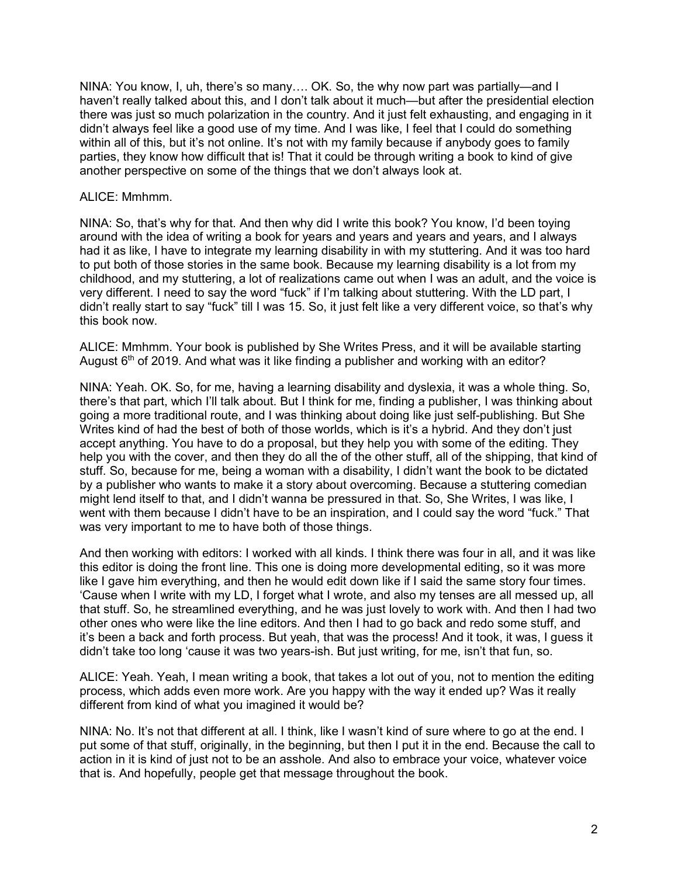NINA: You know, I, uh, there's so many…. OK. So, the why now part was partially—and I haven't really talked about this, and I don't talk about it much—but after the presidential election there was just so much polarization in the country. And it just felt exhausting, and engaging in it didn't always feel like a good use of my time. And I was like, I feel that I could do something within all of this, but it's not online. It's not with my family because if anybody goes to family parties, they know how difficult that is! That it could be through writing a book to kind of give another perspective on some of the things that we don't always look at.

#### ALICE: Mmhmm.

NINA: So, that's why for that. And then why did I write this book? You know, I'd been toying around with the idea of writing a book for years and years and years and years, and I always had it as like, I have to integrate my learning disability in with my stuttering. And it was too hard to put both of those stories in the same book. Because my learning disability is a lot from my childhood, and my stuttering, a lot of realizations came out when I was an adult, and the voice is very different. I need to say the word "fuck" if I'm talking about stuttering. With the LD part, I didn't really start to say "fuck" till I was 15. So, it just felt like a very different voice, so that's why this book now.

ALICE: Mmhmm. Your book is published by She Writes Press, and it will be available starting August  $6<sup>th</sup>$  of 2019. And what was it like finding a publisher and working with an editor?

NINA: Yeah. OK. So, for me, having a learning disability and dyslexia, it was a whole thing. So, there's that part, which I'll talk about. But I think for me, finding a publisher, I was thinking about going a more traditional route, and I was thinking about doing like just self-publishing. But She Writes kind of had the best of both of those worlds, which is it's a hybrid. And they don't just accept anything. You have to do a proposal, but they help you with some of the editing. They help you with the cover, and then they do all the of the other stuff, all of the shipping, that kind of stuff. So, because for me, being a woman with a disability, I didn't want the book to be dictated by a publisher who wants to make it a story about overcoming. Because a stuttering comedian might lend itself to that, and I didn't wanna be pressured in that. So, She Writes, I was like, I went with them because I didn't have to be an inspiration, and I could say the word "fuck." That was very important to me to have both of those things.

And then working with editors: I worked with all kinds. I think there was four in all, and it was like this editor is doing the front line. This one is doing more developmental editing, so it was more like I gave him everything, and then he would edit down like if I said the same story four times. 'Cause when I write with my LD, I forget what I wrote, and also my tenses are all messed up, all that stuff. So, he streamlined everything, and he was just lovely to work with. And then I had two other ones who were like the line editors. And then I had to go back and redo some stuff, and it's been a back and forth process. But yeah, that was the process! And it took, it was, I guess it didn't take too long 'cause it was two years-ish. But just writing, for me, isn't that fun, so.

ALICE: Yeah. Yeah, I mean writing a book, that takes a lot out of you, not to mention the editing process, which adds even more work. Are you happy with the way it ended up? Was it really different from kind of what you imagined it would be?

NINA: No. It's not that different at all. I think, like I wasn't kind of sure where to go at the end. I put some of that stuff, originally, in the beginning, but then I put it in the end. Because the call to action in it is kind of just not to be an asshole. And also to embrace your voice, whatever voice that is. And hopefully, people get that message throughout the book.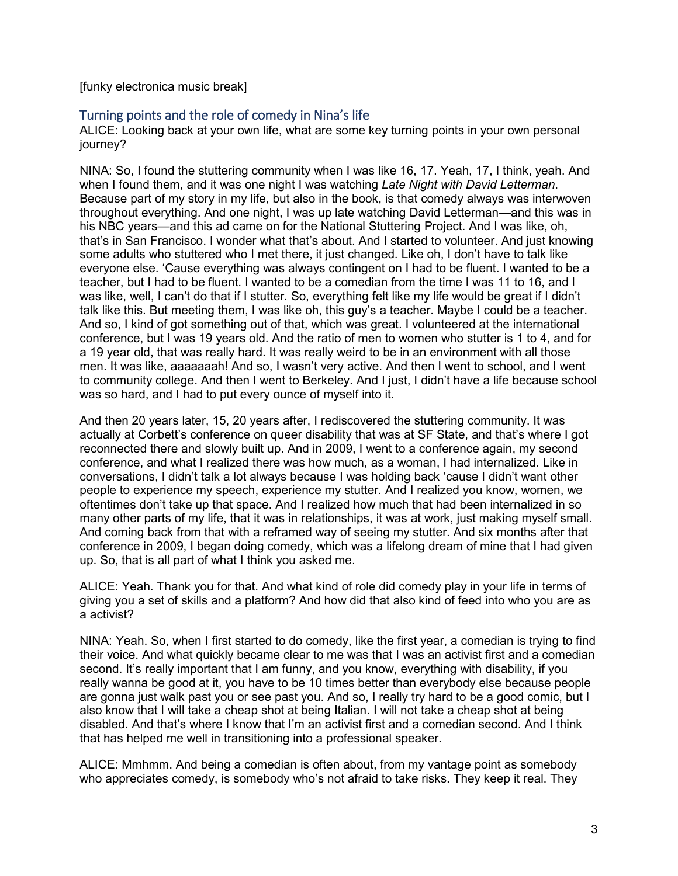[funky electronica music break]

## Turning points and the role of comedy in Nina's life

ALICE: Looking back at your own life, what are some key turning points in your own personal journey?

NINA: So, I found the stuttering community when I was like 16, 17. Yeah, 17, I think, yeah. And when I found them, and it was one night I was watching *Late Night with David Letterman*. Because part of my story in my life, but also in the book, is that comedy always was interwoven throughout everything. And one night, I was up late watching David Letterman—and this was in his NBC years—and this ad came on for the National Stuttering Project. And I was like, oh, that's in San Francisco. I wonder what that's about. And I started to volunteer. And just knowing some adults who stuttered who I met there, it just changed. Like oh, I don't have to talk like everyone else. 'Cause everything was always contingent on I had to be fluent. I wanted to be a teacher, but I had to be fluent. I wanted to be a comedian from the time I was 11 to 16, and I was like, well, I can't do that if I stutter. So, everything felt like my life would be great if I didn't talk like this. But meeting them, I was like oh, this guy's a teacher. Maybe I could be a teacher. And so, I kind of got something out of that, which was great. I volunteered at the international conference, but I was 19 years old. And the ratio of men to women who stutter is 1 to 4, and for a 19 year old, that was really hard. It was really weird to be in an environment with all those men. It was like, aaaaaaah! And so, I wasn't very active. And then I went to school, and I went to community college. And then I went to Berkeley. And I just, I didn't have a life because school was so hard, and I had to put every ounce of myself into it.

And then 20 years later, 15, 20 years after, I rediscovered the stuttering community. It was actually at Corbett's conference on queer disability that was at SF State, and that's where I got reconnected there and slowly built up. And in 2009, I went to a conference again, my second conference, and what I realized there was how much, as a woman, I had internalized. Like in conversations, I didn't talk a lot always because I was holding back 'cause I didn't want other people to experience my speech, experience my stutter. And I realized you know, women, we oftentimes don't take up that space. And I realized how much that had been internalized in so many other parts of my life, that it was in relationships, it was at work, just making myself small. And coming back from that with a reframed way of seeing my stutter. And six months after that conference in 2009, I began doing comedy, which was a lifelong dream of mine that I had given up. So, that is all part of what I think you asked me.

ALICE: Yeah. Thank you for that. And what kind of role did comedy play in your life in terms of giving you a set of skills and a platform? And how did that also kind of feed into who you are as a activist?

NINA: Yeah. So, when I first started to do comedy, like the first year, a comedian is trying to find their voice. And what quickly became clear to me was that I was an activist first and a comedian second. It's really important that I am funny, and you know, everything with disability, if you really wanna be good at it, you have to be 10 times better than everybody else because people are gonna just walk past you or see past you. And so, I really try hard to be a good comic, but I also know that I will take a cheap shot at being Italian. I will not take a cheap shot at being disabled. And that's where I know that I'm an activist first and a comedian second. And I think that has helped me well in transitioning into a professional speaker.

ALICE: Mmhmm. And being a comedian is often about, from my vantage point as somebody who appreciates comedy, is somebody who's not afraid to take risks. They keep it real. They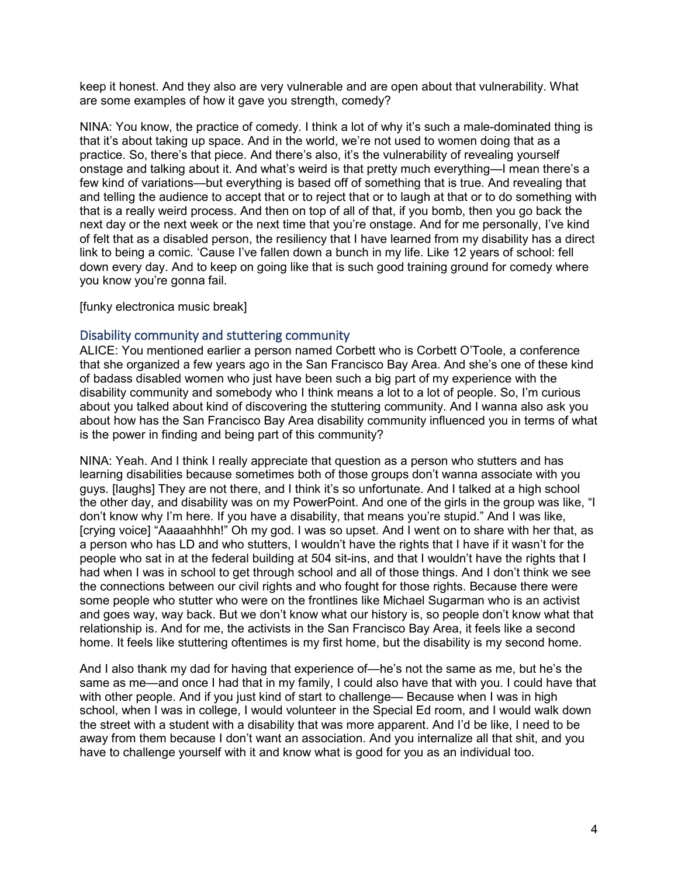keep it honest. And they also are very vulnerable and are open about that vulnerability. What are some examples of how it gave you strength, comedy?

NINA: You know, the practice of comedy. I think a lot of why it's such a male-dominated thing is that it's about taking up space. And in the world, we're not used to women doing that as a practice. So, there's that piece. And there's also, it's the vulnerability of revealing yourself onstage and talking about it. And what's weird is that pretty much everything—I mean there's a few kind of variations—but everything is based off of something that is true. And revealing that and telling the audience to accept that or to reject that or to laugh at that or to do something with that is a really weird process. And then on top of all of that, if you bomb, then you go back the next day or the next week or the next time that you're onstage. And for me personally, I've kind of felt that as a disabled person, the resiliency that I have learned from my disability has a direct link to being a comic. 'Cause I've fallen down a bunch in my life. Like 12 years of school: fell down every day. And to keep on going like that is such good training ground for comedy where you know you're gonna fail.

[funky electronica music break]

#### Disability community and stuttering community

ALICE: You mentioned earlier a person named Corbett who is Corbett O'Toole, a conference that she organized a few years ago in the San Francisco Bay Area. And she's one of these kind of badass disabled women who just have been such a big part of my experience with the disability community and somebody who I think means a lot to a lot of people. So, I'm curious about you talked about kind of discovering the stuttering community. And I wanna also ask you about how has the San Francisco Bay Area disability community influenced you in terms of what is the power in finding and being part of this community?

NINA: Yeah. And I think I really appreciate that question as a person who stutters and has learning disabilities because sometimes both of those groups don't wanna associate with you guys. [laughs] They are not there, and I think it's so unfortunate. And I talked at a high school the other day, and disability was on my PowerPoint. And one of the girls in the group was like, "I don't know why I'm here. If you have a disability, that means you're stupid." And I was like, [crying voice] "Aaaaahhhh!" Oh my god. I was so upset. And I went on to share with her that, as a person who has LD and who stutters, I wouldn't have the rights that I have if it wasn't for the people who sat in at the federal building at 504 sit-ins, and that I wouldn't have the rights that I had when I was in school to get through school and all of those things. And I don't think we see the connections between our civil rights and who fought for those rights. Because there were some people who stutter who were on the frontlines like Michael Sugarman who is an activist and goes way, way back. But we don't know what our history is, so people don't know what that relationship is. And for me, the activists in the San Francisco Bay Area, it feels like a second home. It feels like stuttering oftentimes is my first home, but the disability is my second home.

And I also thank my dad for having that experience of—he's not the same as me, but he's the same as me—and once I had that in my family, I could also have that with you. I could have that with other people. And if you just kind of start to challenge— Because when I was in high school, when I was in college, I would volunteer in the Special Ed room, and I would walk down the street with a student with a disability that was more apparent. And I'd be like, I need to be away from them because I don't want an association. And you internalize all that shit, and you have to challenge yourself with it and know what is good for you as an individual too.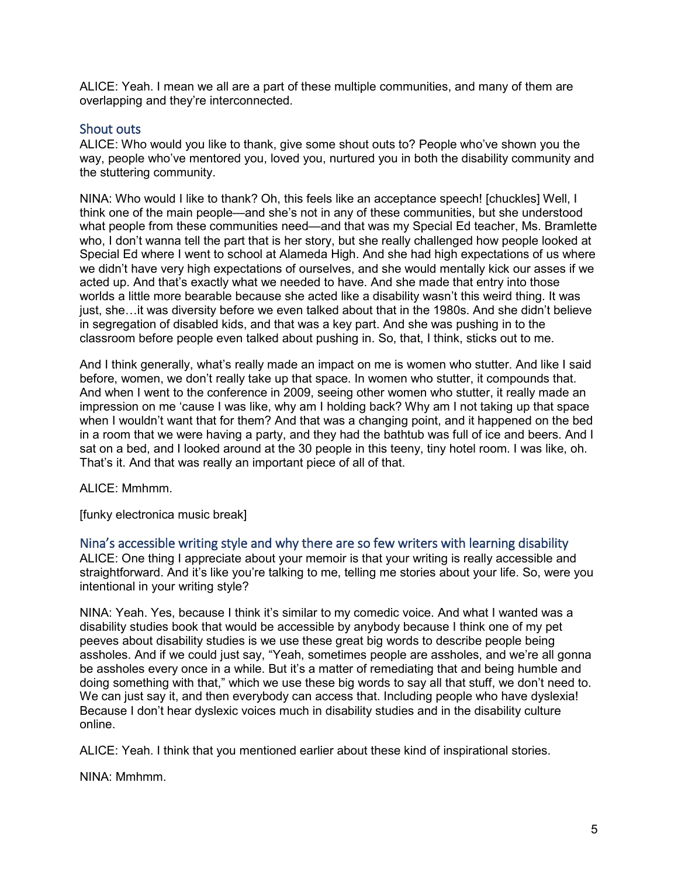ALICE: Yeah. I mean we all are a part of these multiple communities, and many of them are overlapping and they're interconnected.

## Shout outs

ALICE: Who would you like to thank, give some shout outs to? People who've shown you the way, people who've mentored you, loved you, nurtured you in both the disability community and the stuttering community.

NINA: Who would I like to thank? Oh, this feels like an acceptance speech! [chuckles] Well, I think one of the main people—and she's not in any of these communities, but she understood what people from these communities need—and that was my Special Ed teacher, Ms. Bramlette who, I don't wanna tell the part that is her story, but she really challenged how people looked at Special Ed where I went to school at Alameda High. And she had high expectations of us where we didn't have very high expectations of ourselves, and she would mentally kick our asses if we acted up. And that's exactly what we needed to have. And she made that entry into those worlds a little more bearable because she acted like a disability wasn't this weird thing. It was just, she…it was diversity before we even talked about that in the 1980s. And she didn't believe in segregation of disabled kids, and that was a key part. And she was pushing in to the classroom before people even talked about pushing in. So, that, I think, sticks out to me.

And I think generally, what's really made an impact on me is women who stutter. And like I said before, women, we don't really take up that space. In women who stutter, it compounds that. And when I went to the conference in 2009, seeing other women who stutter, it really made an impression on me 'cause I was like, why am I holding back? Why am I not taking up that space when I wouldn't want that for them? And that was a changing point, and it happened on the bed in a room that we were having a party, and they had the bathtub was full of ice and beers. And I sat on a bed, and I looked around at the 30 people in this teeny, tiny hotel room. I was like, oh. That's it. And that was really an important piece of all of that.

ALICE: Mmhmm.

[funky electronica music break]

Nina's accessible writing style and why there are so few writers with learning disability ALICE: One thing I appreciate about your memoir is that your writing is really accessible and straightforward. And it's like you're talking to me, telling me stories about your life. So, were you intentional in your writing style?

NINA: Yeah. Yes, because I think it's similar to my comedic voice. And what I wanted was a disability studies book that would be accessible by anybody because I think one of my pet peeves about disability studies is we use these great big words to describe people being assholes. And if we could just say, "Yeah, sometimes people are assholes, and we're all gonna be assholes every once in a while. But it's a matter of remediating that and being humble and doing something with that," which we use these big words to say all that stuff, we don't need to. We can just say it, and then everybody can access that. Including people who have dyslexia! Because I don't hear dyslexic voices much in disability studies and in the disability culture online.

ALICE: Yeah. I think that you mentioned earlier about these kind of inspirational stories.

NINA: Mmhmm.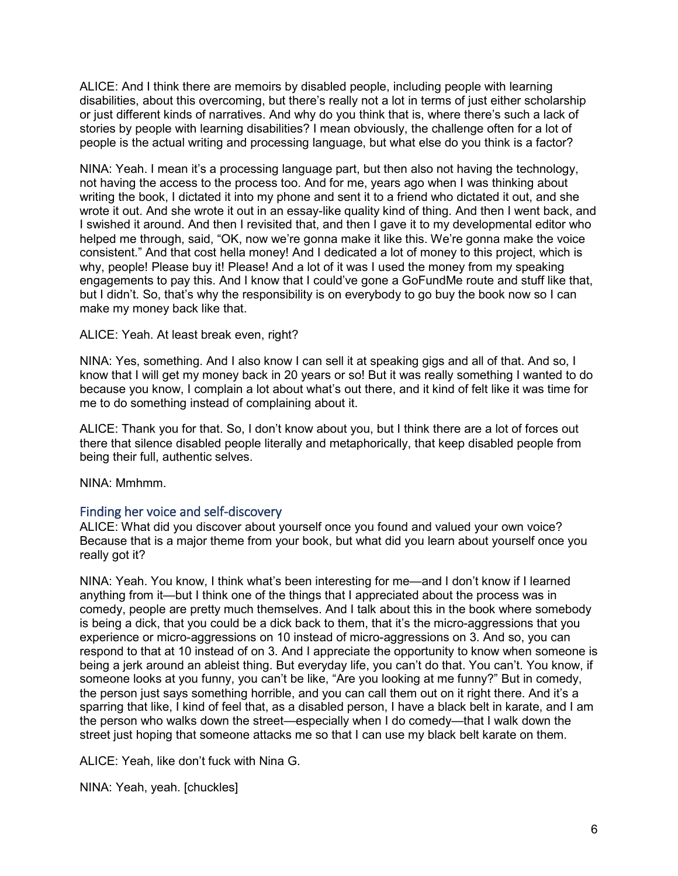ALICE: And I think there are memoirs by disabled people, including people with learning disabilities, about this overcoming, but there's really not a lot in terms of just either scholarship or just different kinds of narratives. And why do you think that is, where there's such a lack of stories by people with learning disabilities? I mean obviously, the challenge often for a lot of people is the actual writing and processing language, but what else do you think is a factor?

NINA: Yeah. I mean it's a processing language part, but then also not having the technology, not having the access to the process too. And for me, years ago when I was thinking about writing the book, I dictated it into my phone and sent it to a friend who dictated it out, and she wrote it out. And she wrote it out in an essay-like quality kind of thing. And then I went back, and I swished it around. And then I revisited that, and then I gave it to my developmental editor who helped me through, said, "OK, now we're gonna make it like this. We're gonna make the voice consistent." And that cost hella money! And I dedicated a lot of money to this project, which is why, people! Please buy it! Please! And a lot of it was I used the money from my speaking engagements to pay this. And I know that I could've gone a GoFundMe route and stuff like that, but I didn't. So, that's why the responsibility is on everybody to go buy the book now so I can make my money back like that.

#### ALICE: Yeah. At least break even, right?

NINA: Yes, something. And I also know I can sell it at speaking gigs and all of that. And so, I know that I will get my money back in 20 years or so! But it was really something I wanted to do because you know, I complain a lot about what's out there, and it kind of felt like it was time for me to do something instead of complaining about it.

ALICE: Thank you for that. So, I don't know about you, but I think there are a lot of forces out there that silence disabled people literally and metaphorically, that keep disabled people from being their full, authentic selves.

NINA: Mmhmm.

## Finding her voice and self-discovery

ALICE: What did you discover about yourself once you found and valued your own voice? Because that is a major theme from your book, but what did you learn about yourself once you really got it?

NINA: Yeah. You know, I think what's been interesting for me—and I don't know if I learned anything from it—but I think one of the things that I appreciated about the process was in comedy, people are pretty much themselves. And I talk about this in the book where somebody is being a dick, that you could be a dick back to them, that it's the micro-aggressions that you experience or micro-aggressions on 10 instead of micro-aggressions on 3. And so, you can respond to that at 10 instead of on 3. And I appreciate the opportunity to know when someone is being a jerk around an ableist thing. But everyday life, you can't do that. You can't. You know, if someone looks at you funny, you can't be like, "Are you looking at me funny?" But in comedy, the person just says something horrible, and you can call them out on it right there. And it's a sparring that like, I kind of feel that, as a disabled person, I have a black belt in karate, and I am the person who walks down the street—especially when I do comedy—that I walk down the street just hoping that someone attacks me so that I can use my black belt karate on them.

ALICE: Yeah, like don't fuck with Nina G.

NINA: Yeah, yeah. [chuckles]